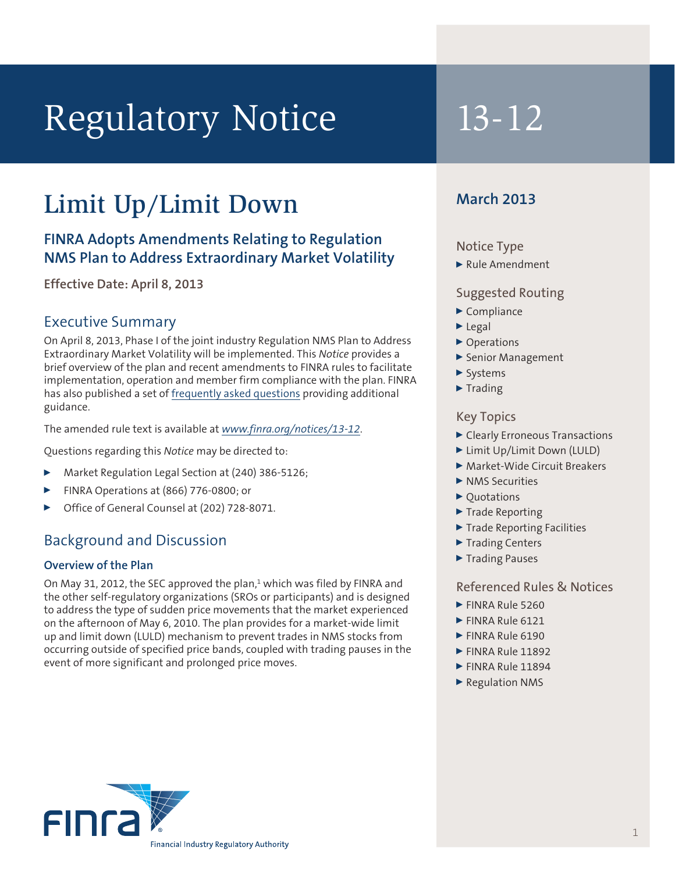# Regulatory Notice 13-12

## Limit Up/Limit Down

### **FINRA Adopts Amendments Relating to Regulation NMS Plan to Address Extraordinary Market Volatility**

**Effective Date: April 8, 2013**

#### Executive Summary

On April 8, 2013, Phase I of the joint industry Regulation NMS Plan to Address Extraordinary Market Volatility will be implemented. This *Notice* provides a brief overview of the plan and recent amendments to FINRA rules to facilitate implementation, operation and member firm compliance with the plan. FINRA has also published a set of [frequently asked questions](http://www.finra.org/Industry/Compliance/MarketTransparency/TRF/LULD/) providing additional guidance.

The amended rule text is available at *<www.finra.org/notices>/13-12*.

Questions regarding this *Notice* may be directed to:

- <sup>0</sup> Market Regulation Legal Section at (240) 386-5126;
- <sup>0</sup> FINRA Operations at (866) 776-0800; or
- <sup>0</sup> Office of General Counsel at (202) 728-8071.

#### Background and Discussion

#### **Overview of the Plan**

On May 31, 2012, the SEC approved the plan,<sup>1</sup> which was filed by FINRA and the other self-regulatory organizations (SROs or participants) and is designed to address the type of sudden price movements that the market experienced on the afternoon of May 6, 2010. The plan provides for a market-wide limit up and limit down (LULD) mechanism to prevent trades in NMS stocks from occurring outside of specified price bands, coupled with trading pauses in the event of more significant and prolonged price moves.

#### **March 2013**

#### Notice Type

 $\blacktriangleright$  Rule Amendment

#### Suggested Routing

- $\blacktriangleright$  Compliance
- $\blacktriangleright$  Legal
- ▶ Operations
- <sup>0</sup> Senior Management
- $\blacktriangleright$  Systems
- $\blacktriangleright$  Trading

#### Key Topics

- **D** Clearly Erroneous Transactions
- ▶ Limit Up/Limit Down (LULD)
- ▶ Market-Wide Circuit Breakers
- $\blacktriangleright$  NMS Securities
- $\triangleright$  Ouotations
- $\blacktriangleright$  Trade Reporting
- ▶ Trade Reporting Facilities
- ▶ Trading Centers
- ▶ Trading Pauses

#### Referenced Rules & Notices

- FINRA Rule 5260
- $\blacktriangleright$  FINRA Rule 6121
- **FINRA Rule 6190**
- $\blacktriangleright$  FINRA Rule 11892
- $\blacktriangleright$  FINRA Rule 11894
- $\blacktriangleright$  Regulation NMS

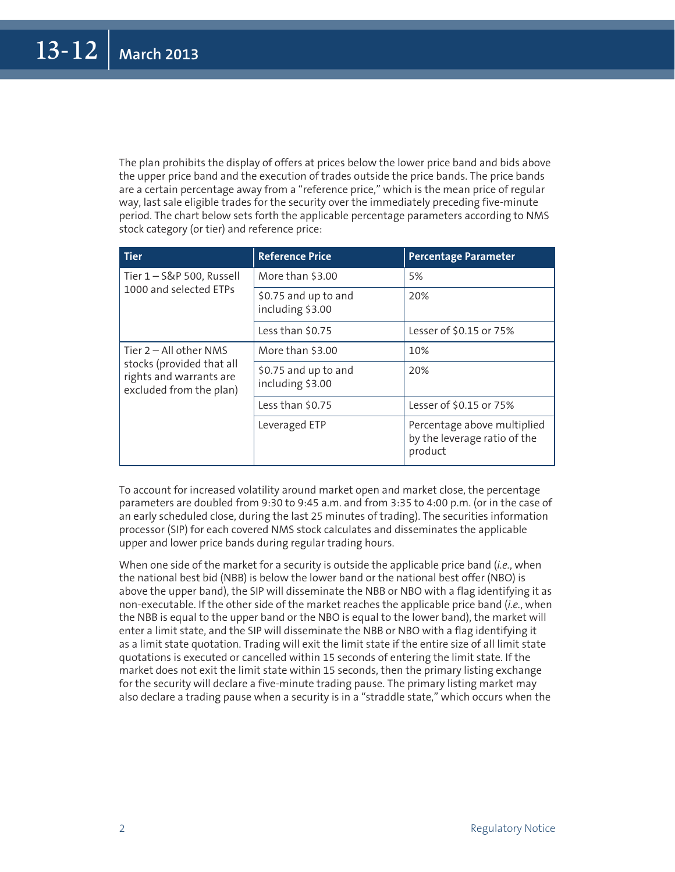The plan prohibits the display of offers at prices below the lower price band and bids above the upper price band and the execution of trades outside the price bands. The price bands are a certain percentage away from a "reference price," which is the mean price of regular way, last sale eligible trades for the security over the immediately preceding five-minute period. The chart below sets forth the applicable percentage parameters according to NMS stock category (or tier) and reference price:

| <b>Tier</b>                                                                                                 | <b>Reference Price</b>                   | <b>Percentage Parameter</b>                                            |
|-------------------------------------------------------------------------------------------------------------|------------------------------------------|------------------------------------------------------------------------|
| Tier 1-S&P 500, Russell<br>1000 and selected FTPs                                                           | More than \$3.00                         | 5%                                                                     |
|                                                                                                             | \$0.75 and up to and<br>including \$3.00 | 20%                                                                    |
|                                                                                                             | Less than \$0.75                         | Lesser of \$0.15 or 75%                                                |
| Tier $2 - All other NMS$<br>stocks (provided that all<br>rights and warrants are<br>excluded from the plan) | More than \$3.00                         | 10%                                                                    |
|                                                                                                             | \$0.75 and up to and<br>including \$3.00 | 20%                                                                    |
|                                                                                                             | Less than \$0.75                         | Lesser of \$0.15 or 75%                                                |
|                                                                                                             | Leveraged ETP                            | Percentage above multiplied<br>by the leverage ratio of the<br>product |

To account for increased volatility around market open and market close, the percentage parameters are doubled from 9:30 to 9:45 a.m. and from 3:35 to 4:00 p.m. (or in the case of an early scheduled close, during the last 25 minutes of trading). The securities information processor (SIP) for each covered NMS stock calculates and disseminates the applicable upper and lower price bands during regular trading hours.

When one side of the market for a security is outside the applicable price band (*i.e.*, when the national best bid (NBB) is below the lower band or the national best offer (NBO) is above the upper band), the SIP will disseminate the NBB or NBO with a flag identifying it as non-executable. If the other side of the market reaches the applicable price band (*i.e.*, when the NBB is equal to the upper band or the NBO is equal to the lower band), the market will enter a limit state, and the SIP will disseminate the NBB or NBO with a flag identifying it as a limit state quotation. Trading will exit the limit state if the entire size of all limit state quotations is executed or cancelled within 15 seconds of entering the limit state. If the market does not exit the limit state within 15 seconds, then the primary listing exchange for the security will declare a five-minute trading pause. The primary listing market may also declare a trading pause when a security is in a "straddle state," which occurs when the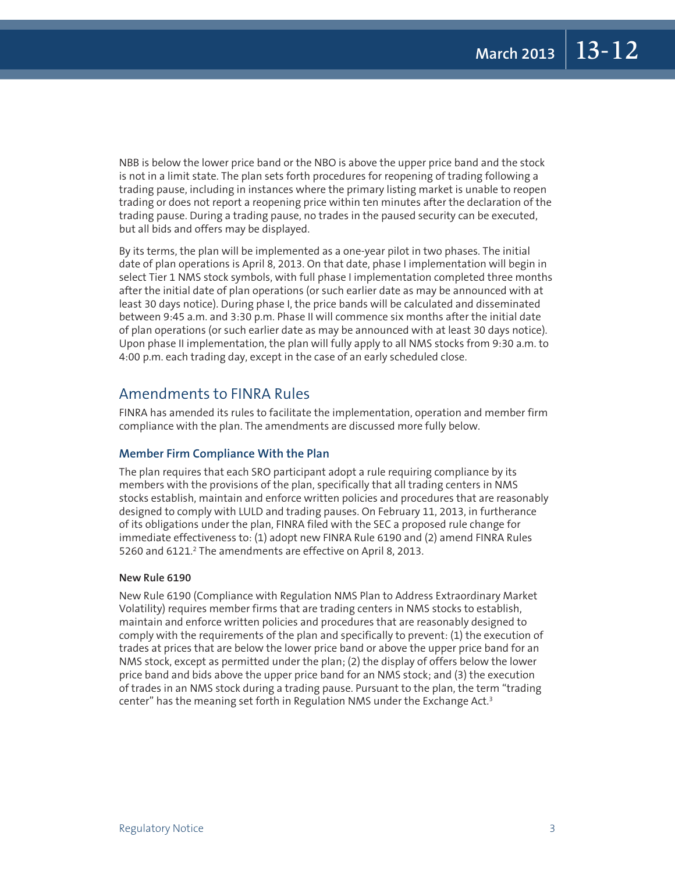NBB is below the lower price band or the NBO is above the upper price band and the stock is not in a limit state. The plan sets forth procedures for reopening of trading following a trading pause, including in instances where the primary listing market is unable to reopen trading or does not report a reopening price within ten minutes after the declaration of the trading pause. During a trading pause, no trades in the paused security can be executed, but all bids and offers may be displayed.

By its terms, the plan will be implemented as a one-year pilot in two phases. The initial date of plan operations is April 8, 2013. On that date, phase I implementation will begin in select Tier 1 NMS stock symbols, with full phase I implementation completed three months after the initial date of plan operations (or such earlier date as may be announced with at least 30 days notice). During phase I, the price bands will be calculated and disseminated between 9:45 a.m. and 3:30 p.m. Phase II will commence six months after the initial date of plan operations (or such earlier date as may be announced with at least 30 days notice). Upon phase II implementation, the plan will fully apply to all NMS stocks from 9:30 a.m. to 4:00 p.m. each trading day, except in the case of an early scheduled close.

#### Amendments to FINRA Rules

FINRA has amended its rules to facilitate the implementation, operation and member firm compliance with the plan. The amendments are discussed more fully below.

#### **Member Firm Compliance With the Plan**

The plan requires that each SRO participant adopt a rule requiring compliance by its members with the provisions of the plan, specifically that all trading centers in NMS stocks establish, maintain and enforce written policies and procedures that are reasonably designed to comply with LULD and trading pauses. On February 11, 2013, in furtherance of its obligations under the plan, FINRA filed with the SEC a proposed rule change for immediate effectiveness to: (1) adopt new FINRA Rule 6190 and (2) amend FINRA Rules 5260 and 6121.<sup>2</sup> The amendments are effective on April 8, 2013.

#### **New Rule 6190**

New Rule 6190 (Compliance with Regulation NMS Plan to Address Extraordinary Market Volatility) requires member firms that are trading centers in NMS stocks to establish, maintain and enforce written policies and procedures that are reasonably designed to comply with the requirements of the plan and specifically to prevent: (1) the execution of trades at prices that are below the lower price band or above the upper price band for an NMS stock, except as permitted under the plan; (2) the display of offers below the lower price band and bids above the upper price band for an NMS stock; and (3) the execution of trades in an NMS stock during a trading pause. Pursuant to the plan, the term "trading center" has the meaning set forth in Regulation NMS under the Exchange Act.3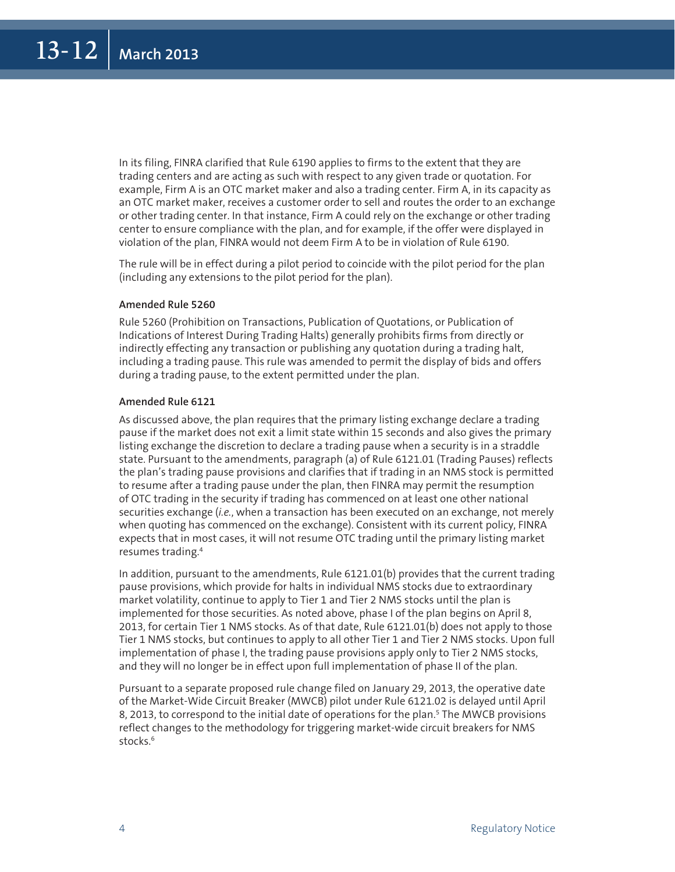In its filing, FINRA clarified that Rule 6190 applies to firms to the extent that they are trading centers and are acting as such with respect to any given trade or quotation. For example, Firm A is an OTC market maker and also a trading center. Firm A, in its capacity as an OTC market maker, receives a customer order to sell and routes the order to an exchange or other trading center. In that instance, Firm A could rely on the exchange or other trading center to ensure compliance with the plan, and for example, if the offer were displayed in violation of the plan, FINRA would not deem Firm A to be in violation of Rule 6190.

The rule will be in effect during a pilot period to coincide with the pilot period for the plan (including any extensions to the pilot period for the plan).

#### **Amended Rule 5260**

Rule 5260 (Prohibition on Transactions, Publication of Quotations, or Publication of Indications of Interest During Trading Halts) generally prohibits firms from directly or indirectly effecting any transaction or publishing any quotation during a trading halt, including a trading pause. This rule was amended to permit the display of bids and offers during a trading pause, to the extent permitted under the plan.

#### **Amended Rule 6121**

As discussed above, the plan requires that the primary listing exchange declare a trading pause if the market does not exit a limit state within 15 seconds and also gives the primary listing exchange the discretion to declare a trading pause when a security is in a straddle state. Pursuant to the amendments, paragraph (a) of Rule 6121.01 (Trading Pauses) reflects the plan's trading pause provisions and clarifies that if trading in an NMS stock is permitted to resume after a trading pause under the plan, then FINRA may permit the resumption of OTC trading in the security if trading has commenced on at least one other national securities exchange (*i.e.*, when a transaction has been executed on an exchange, not merely when quoting has commenced on the exchange). Consistent with its current policy, FINRA expects that in most cases, it will not resume OTC trading until the primary listing market resumes trading.4

In addition, pursuant to the amendments, Rule 6121.01(b) provides that the current trading pause provisions, which provide for halts in individual NMS stocks due to extraordinary market volatility, continue to apply to Tier 1 and Tier 2 NMS stocks until the plan is implemented for those securities. As noted above, phase I of the plan begins on April 8, 2013, for certain Tier 1 NMS stocks. As of that date, Rule 6121.01(b) does not apply to those Tier 1 NMS stocks, but continues to apply to all other Tier 1 and Tier 2 NMS stocks. Upon full implementation of phase I, the trading pause provisions apply only to Tier 2 NMS stocks, and they will no longer be in effect upon full implementation of phase II of the plan.

Pursuant to a separate proposed rule change filed on January 29, 2013, the operative date of the Market-Wide Circuit Breaker (MWCB) pilot under Rule 6121.02 is delayed until April 8, 2013, to correspond to the initial date of operations for the plan.<sup>5</sup> The MWCB provisions reflect changes to the methodology for triggering market-wide circuit breakers for NMS stocks.<sup>6</sup>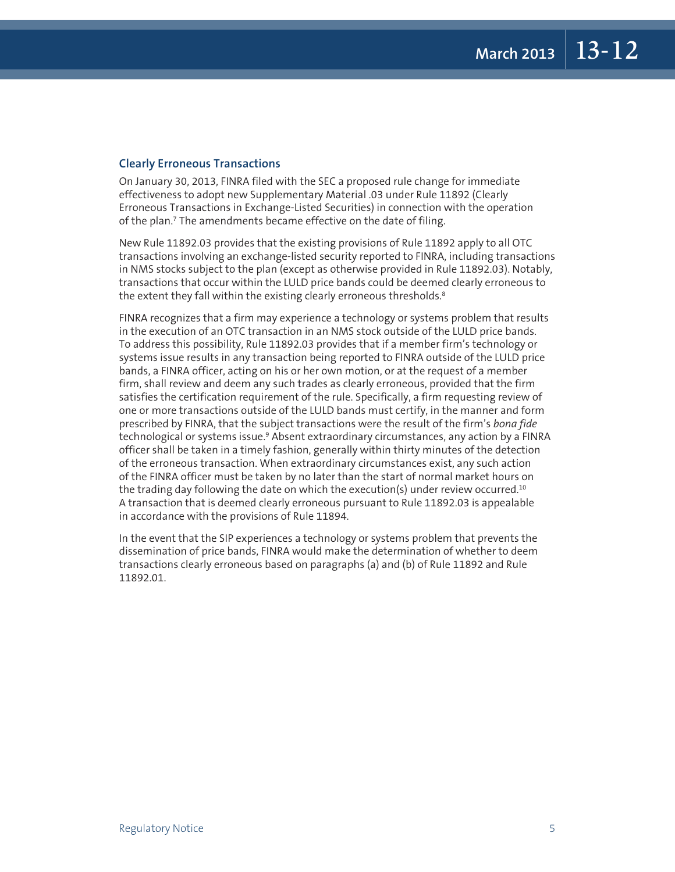#### **Clearly Erroneous Transactions**

On January 30, 2013, FINRA filed with the SEC a proposed rule change for immediate effectiveness to adopt new Supplementary Material .03 under Rule 11892 (Clearly Erroneous Transactions in Exchange-Listed Securities) in connection with the operation of the plan.7 The amendments became effective on the date of filing.

New Rule 11892.03 provides that the existing provisions of Rule 11892 apply to all OTC transactions involving an exchange-listed security reported to FINRA, including transactions in NMS stocks subject to the plan (except as otherwise provided in Rule 11892.03). Notably, transactions that occur within the LULD price bands could be deemed clearly erroneous to the extent they fall within the existing clearly erroneous thresholds.<sup>8</sup>

FINRA recognizes that a firm may experience a technology or systems problem that results in the execution of an OTC transaction in an NMS stock outside of the LULD price bands. To address this possibility, Rule 11892.03 provides that if a member firm's technology or systems issue results in any transaction being reported to FINRA outside of the LULD price bands, a FINRA officer, acting on his or her own motion, or at the request of a member firm, shall review and deem any such trades as clearly erroneous, provided that the firm satisfies the certification requirement of the rule. Specifically, a firm requesting review of one or more transactions outside of the LULD bands must certify, in the manner and form prescribed by FINRA, that the subject transactions were the result of the firm's *bona fide*  technological or systems issue.<sup>9</sup> Absent extraordinary circumstances, any action by a FINRA officer shall be taken in a timely fashion, generally within thirty minutes of the detection of the erroneous transaction. When extraordinary circumstances exist, any such action of the FINRA officer must be taken by no later than the start of normal market hours on the trading day following the date on which the execution(s) under review occurred.<sup>10</sup> A transaction that is deemed clearly erroneous pursuant to Rule 11892.03 is appealable in accordance with the provisions of Rule 11894.

In the event that the SIP experiences a technology or systems problem that prevents the dissemination of price bands, FINRA would make the determination of whether to deem transactions clearly erroneous based on paragraphs (a) and (b) of Rule 11892 and Rule 11892.01.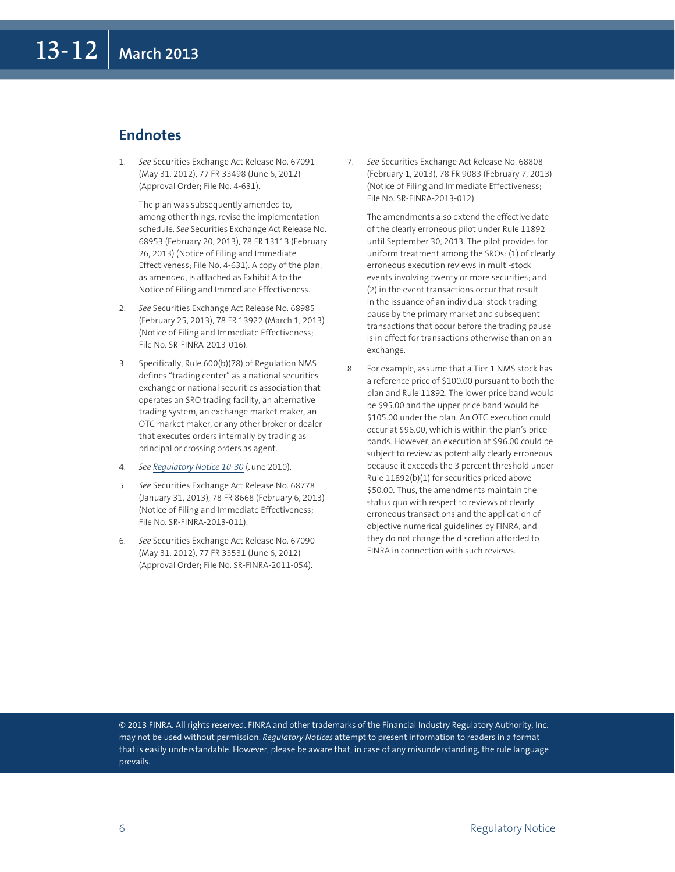#### **Endnotes**

1. *See* Securities Exchange Act Release No. 67091 (May 31, 2012), 77 FR 33498 (June 6, 2012) (Approval Order; File No. 4-631).

 The plan was subsequently amended to, among other things, revise the implementation schedule. *See* Securities Exchange Act Release No. 68953 (February 20, 2013), 78 FR 13113 (February 26, 2013) (Notice of Filing and Immediate Effectiveness; File No. 4-631). A copy of the plan, as amended, is attached as Exhibit A to the Notice of Filing and Immediate Effectiveness.

- 2. *See* Securities Exchange Act Release No. 68985 (February 25, 2013), 78 FR 13922 (March 1, 2013) (Notice of Filing and Immediate Effectiveness; File No. SR-FINRA-2013-016).
- 3. Specifically, Rule 600(b)(78) of Regulation NMS defines "trading center" as a national securities exchange or national securities association that operates an SRO trading facility, an alternative trading system, an exchange market maker, an OTC market maker, or any other broker or dealer that executes orders internally by trading as principal or crossing orders as agent.
- 4. *See Regulatory Notice 10-30* (June 2010).
- 5. *See* Securities Exchange Act Release No. 68778 (January 31, 2013), 78 FR 8668 (February 6, 2013) (Notice of Filing and Immediate Effectiveness; File No. SR-FINRA-2013-011).
- 6. *See* Securities Exchange Act Release No. 67090 (May 31, 2012), 77 FR 33531 (June 6, 2012) (Approval Order; File No. SR-FINRA-2011-054).

7. *See* Securities Exchange Act Release No. 68808 (February 1, 2013), 78 FR 9083 (February 7, 2013) (Notice of Filing and Immediate Effectiveness; File No. SR-FINRA-2013-012).

 The amendments also extend the effective date of the clearly erroneous pilot under Rule 11892 until September 30, 2013. The pilot provides for uniform treatment among the SROs: (1) of clearly erroneous execution reviews in multi-stock events involving twenty or more securities; and (2) in the event transactions occur that result in the issuance of an individual stock trading pause by the primary market and subsequent transactions that occur before the trading pause is in effect for transactions otherwise than on an exchange.

8. For example, assume that a Tier 1 NMS stock has a reference price of \$100.00 pursuant to both the plan and Rule 11892. The lower price band would be \$95.00 and the upper price band would be \$105.00 under the plan. An OTC execution could occur at \$96.00, which is within the plan's price bands. However, an execution at \$96.00 could be subject to review as potentially clearly erroneous because it exceeds the 3 percent threshold under Rule 11892(b)(1) for securities priced above \$50.00. Thus, the amendments maintain the status quo with respect to reviews of clearly erroneous transactions and the application of objective numerical guidelines by FINRA, and they do not change the discretion afforded to FINRA in connection with such reviews.

© 2013 FINRA. All rights reserved. FINRA and other trademarks of the Financial Industry Regulatory Authority, Inc. may not be used without permission. *Regulatory Notices* attempt to present information to readers in a format that is easily understandable. However, please be aware that, in case of any misunderstanding, the rule language prevails.